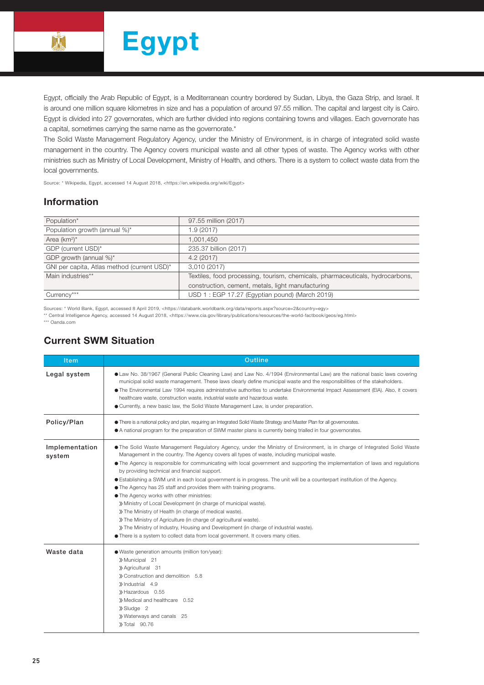

Egypt, officially the Arab Republic of Egypt, is a Mediterranean country bordered by Sudan, Libya, the Gaza Strip, and Israel. It is around one million square kilometres in size and has a population of around 97.55 million. The capital and largest city is Cairo. Egypt is divided into 27 governorates, which are further divided into regions containing towns and villages. Each governorate has a capital, sometimes carrying the same name as the governorate.\*

The Solid Waste Management Regulatory Agency, under the Ministry of Environment, is in charge of integrated solid waste management in the country. The Agency covers municipal waste and all other types of waste. The Agency works with other ministries such as Ministry of Local Development, Ministry of Health, and others. There is a system to collect waste data from the local governments.

Source: \* Wikipedia, Egypt, accessed 14 August 2018, <https://en.wikipedia.org/wiki/Egypt>

## Information

| Population*                                 | 97.55 million (2017)                                                          |  |  |  |
|---------------------------------------------|-------------------------------------------------------------------------------|--|--|--|
| Population growth (annual %)*               | 1.9(2017)                                                                     |  |  |  |
| Area $(km^2)^*$                             | 1,001,450                                                                     |  |  |  |
| GDP (current USD)*                          | 235.37 billion (2017)                                                         |  |  |  |
| GDP growth (annual %)*                      | 4.2(2017)                                                                     |  |  |  |
| GNI per capita, Atlas method (current USD)* | 3,010 (2017)                                                                  |  |  |  |
| Main industries**                           | Textiles, food processing, tourism, chemicals, pharmaceuticals, hydrocarbons, |  |  |  |
|                                             | construction, cement, metals, light manufacturing                             |  |  |  |
| Currency***                                 | USD 1: EGP 17.27 (Egyptian pound) (March 2019)                                |  |  |  |
|                                             |                                                                               |  |  |  |

Sources: \* World Bank, Egypt, accessed 8 April 2019, <https://databank.worldbank.org/data/reports.aspx?source=2&country=egy>

\*\* Central Intelligence Agency, accessed 14 August 2018, <https://www.cia.gov/library/publications/resources/the-world-factbook/geos/eg.html>

\*\*\* Oanda.com

## Current SWM Situation

| Item                     | <b>Outline</b>                                                                                                                                                                                                                                                                                                                                                                                                                                                                                                                                                                                                                                                                                                                                                                                                                                                                                                                                                                                                                               |  |  |  |  |  |
|--------------------------|----------------------------------------------------------------------------------------------------------------------------------------------------------------------------------------------------------------------------------------------------------------------------------------------------------------------------------------------------------------------------------------------------------------------------------------------------------------------------------------------------------------------------------------------------------------------------------------------------------------------------------------------------------------------------------------------------------------------------------------------------------------------------------------------------------------------------------------------------------------------------------------------------------------------------------------------------------------------------------------------------------------------------------------------|--|--|--|--|--|
| Legal system             | Law No. 38/1967 (General Public Cleaning Law) and Law No. 4/1994 (Environmental Law) are the national basic laws covering<br>municipal solid waste management. These laws clearly define municipal waste and the responsibilities of the stakeholders.<br>• The Environmental Law 1994 requires administrative authorities to undertake Environmental Impact Assessment (EIA). Also, it covers<br>healthcare waste, construction waste, industrial waste and hazardous waste.<br>Ourrently, a new basic law, the Solid Waste Management Law, is under preparation.                                                                                                                                                                                                                                                                                                                                                                                                                                                                           |  |  |  |  |  |
| Policy/Plan              | • There is a national policy and plan, requiring an Integrated Solid Waste Strategy and Master Plan for all governorates.<br>• A national program for the preparation of SWM master plans is currently being trialled in four governorates.                                                                                                                                                                                                                                                                                                                                                                                                                                                                                                                                                                                                                                                                                                                                                                                                  |  |  |  |  |  |
| Implementation<br>system | • The Solid Waste Management Regulatory Agency, under the Ministry of Environment, is in charge of Integrated Solid Waste<br>Management in the country. The Agency covers all types of waste, including municipal waste.<br>• The Agency is responsible for communicating with local government and supporting the implementation of laws and regulations<br>by providing technical and financial support.<br>• Establishing a SWM unit in each local government is in progress. The unit will be a counterpart institution of the Agency.<br>• The Agency has 25 staff and provides them with training programs.<br>• The Agency works with other ministries:<br>» Ministry of Local Development (in charge of municipal waste).<br>» The Ministry of Health (in charge of medical waste).<br>» The Ministry of Agriculture (in charge of agricultural waste).<br>» The Ministry of Industry, Housing and Development (in charge of industrial waste).<br>• There is a system to collect data from local government. It covers many cities. |  |  |  |  |  |
| Waste data               | · Waste generation amounts (million ton/year):<br>» Municipal 21<br>>> Agricultural 31<br>» Construction and demolition 5.8<br>$\gg$ Industrial 4.9<br>>> Hazardous 0.55<br>>> Medical and healthcare 0.52<br>$\gg$ Sludge 2<br>» Waterways and canals 25<br>>> Total 90.76                                                                                                                                                                                                                                                                                                                                                                                                                                                                                                                                                                                                                                                                                                                                                                  |  |  |  |  |  |